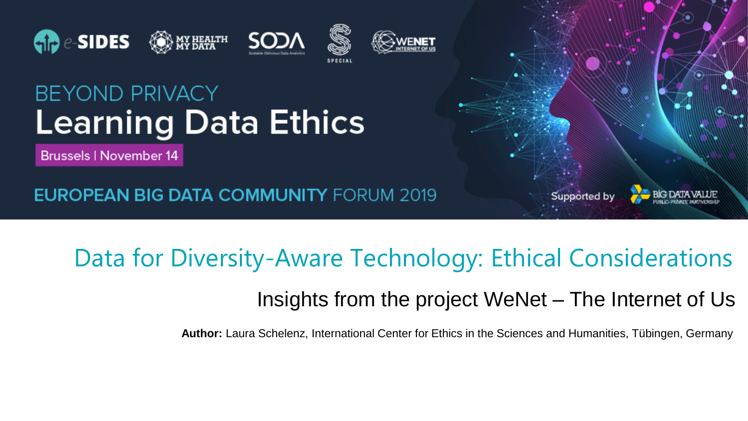





### **BEYOND PRIVACY Learning Data Ethics**

**Brussels | November 14** 

**EUROPEAN BIG DATA COMMUNITY FORUM 2019** 

### Data for Diversity-Aware Technology: Ethical Considerations Insights from the project WeNet – The Internet of Us

**Author:** Laura Schelenz, International Center for Ethics in the Sciences and Humanities, Tübingen, Germany

Supported by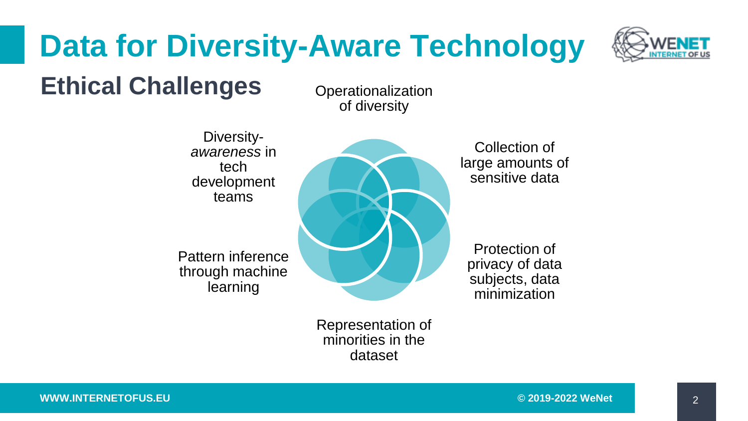# **Data for Diversity-Aware Technology**



### **Ethical Challenges**

**Operationalization** of diversity

Diversity*awareness* in tech development teams

Pattern inference through machine learning



Collection of large amounts of sensitive data

Protection of privacy of data subjects, data minimization

Representation of minorities in the dataset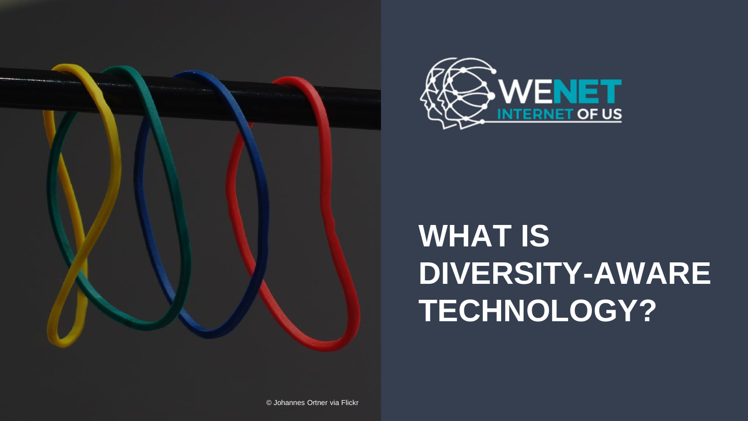



# **WHAT IS DIVERSITY-AWARE TECHNOLOGY?**

© Johannes Ortner via Flickr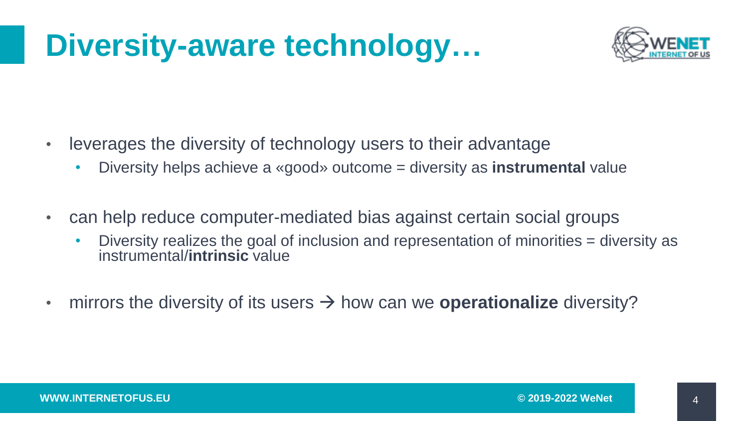## **Diversity-aware technology…**



- leverages the diversity of technology users to their advantage
	- Diversity helps achieve a «good» outcome = diversity as **instrumental** value
- can help reduce computer-mediated bias against certain social groups
	- Diversity realizes the goal of inclusion and representation of minorities = diversity as instrumental/**intrinsic** value
- mirrors the diversity of its users → how can we **operationalize** diversity?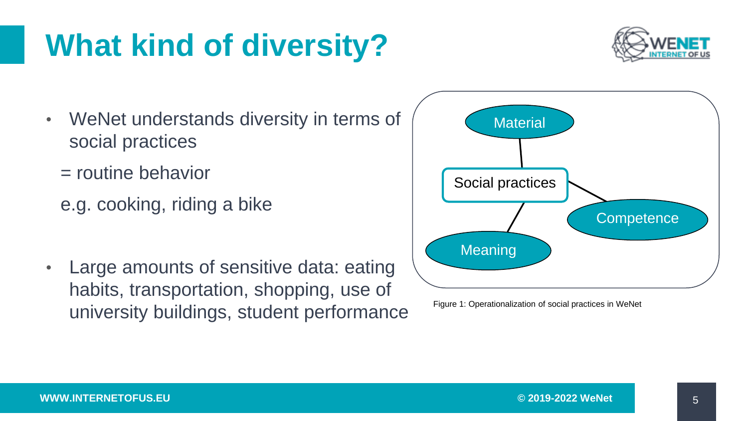#### **WWW.INTERNETOFUS.EU © 2019-2022 WeNet**

5

# **What kind of diversity?**

- WeNet understands diversity in terms of social practices
	- = routine behavior
	- e.g. cooking, riding a bike
- Large amounts of sensitive data: eating habits, transportation, shopping, use of university buildings, student performance



Figure 1: Operationalization of social practices in WeNet

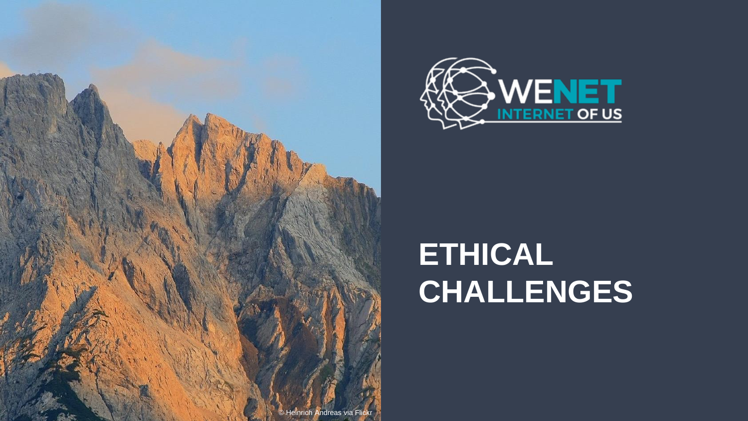



# **ETHICAL CHALLENGES**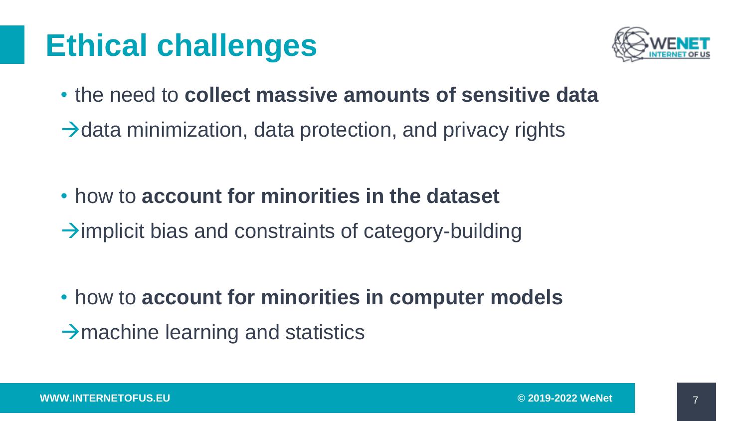# **Ethical challenges**



- the need to **collect massive amounts of sensitive data**
- $\rightarrow$ data minimization, data protection, and privacy rights

• how to **account for minorities in the dataset**  $\rightarrow$ implicit bias and constraints of category-building

- how to **account for minorities in computer models**
- $\rightarrow$ machine learning and statistics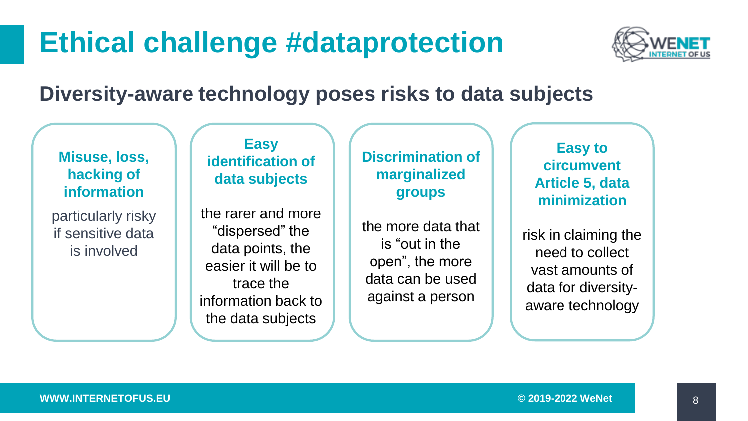### **Ethical challenge #dataprotection**



### **Diversity-aware technology poses risks to data subjects**

#### **Misuse, loss, hacking of information**

particularly risky if sensitive data is involved

#### **Easy identification of data subjects**

the rarer and more "dispersed" the data points, the easier it will be to trace the information back to the data subjects

#### **Discrimination of marginalized groups**

the more data that is "out in the open", the more data can be used against a person

#### **Easy to circumvent Article 5, data minimization**

risk in claiming the need to collect vast amounts of data for diversityaware technology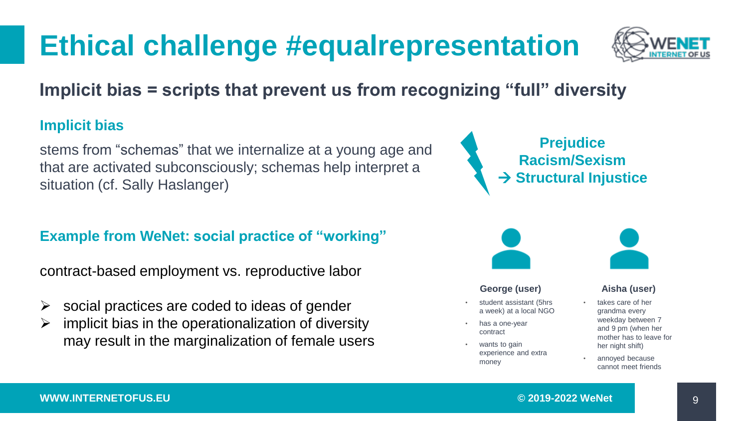## **Ethical challenge #equalrepresentation**



**Implicit bias = scripts that prevent us from recognizing "full" diversity**

#### **Implicit bias**

stems from "schemas" that we internalize at a young age and that are activated subconsciously; schemas help interpret a situation (cf. Sally Haslanger)

#### **Example from WeNet: social practice of "working"**

contract-based employment vs. reproductive labor

- $\triangleright$  social practices are coded to ideas of gender
- $\triangleright$  implicit bias in the operationalization of diversity may result in the marginalization of female users





#### **George (user)**

- student assistant (5hrs a week) at a local NGO
- has a one-vear contract
- wants to gain experience and extra money



#### **Aisha (user)**

- takes care of her grandma every weekday between 7 and 9 pm (when her mother has to leave for her night shift)
- annoved because cannot meet friends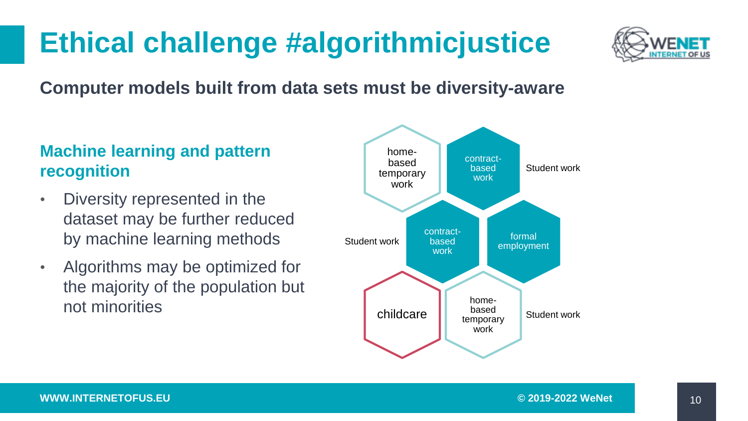### **Ethical challenge #algorithmicjustice**



#### **Computer models built from data sets must be diversity-aware**

#### **Machine learning and pattern recognition**

- Diversity represented in the dataset may be further reduced by machine learning methods
- Algorithms may be optimized for the majority of the population but not minorities

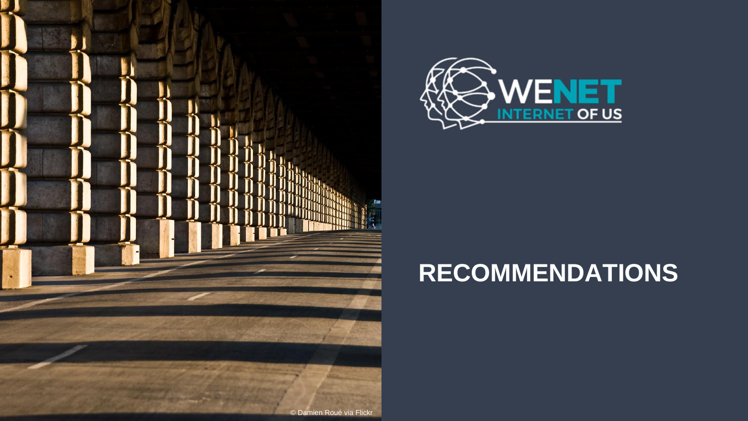



### **RECOMMENDATIONS**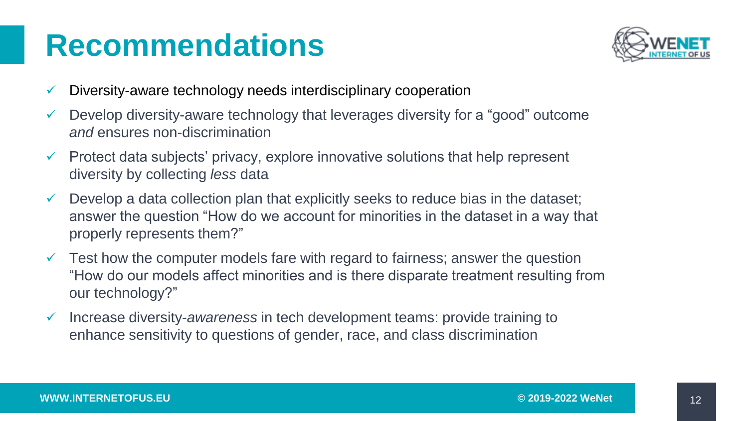## **Recommendations**



- Diversity-aware technology needs interdisciplinary cooperation
- $\checkmark$  Develop diversity-aware technology that leverages diversity for a "good" outcome *and* ensures non-discrimination
- $\checkmark$  Protect data subjects' privacy, explore innovative solutions that help represent diversity by collecting *less* data
- Develop a data collection plan that explicitly seeks to reduce bias in the dataset; answer the question "How do we account for minorities in the dataset in a way that properly represents them?"
- $\checkmark$  Test how the computer models fare with regard to fairness; answer the question "How do our models affect minorities and is there disparate treatment resulting from our technology?"
- ✓ Increase diversity-*awareness* in tech development teams: provide training to enhance sensitivity to questions of gender, race, and class discrimination